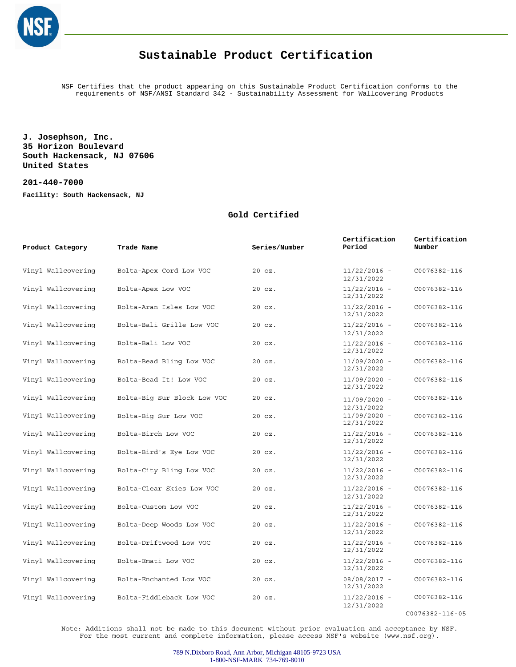

NSF Certifies that the product appearing on this Sustainable Product Certification conforms to the requirements of NSF/ANSI Standard 342 - Sustainability Assessment for Wallcovering Products

**J. Josephson, Inc. 35 Horizon Boulevard South Hackensack, NJ 07606 United States**

**201-440-7000 Facility: South Hackensack, NJ**

#### **Gold Certified**

| Product Category   | Trade Name                  | Series/Number | Certification<br>Period      | Certification<br>Number |
|--------------------|-----------------------------|---------------|------------------------------|-------------------------|
| Vinyl Wallcovering | Bolta-Apex Cord Low VOC     | 20 oz.        | $11/22/2016 -$<br>12/31/2022 | C0076382-116            |
| Vinyl Wallcovering | Bolta-Apex Low VOC          | 20 oz.        | $11/22/2016 -$<br>12/31/2022 | C0076382-116            |
| Vinyl Wallcovering | Bolta-Aran Isles Low VOC    | $20$ $oz.$    | $11/22/2016 -$<br>12/31/2022 | C0076382-116            |
| Vinyl Wallcovering | Bolta-Bali Grille Low VOC   | $20$ $oz.$    | $11/22/2016 -$<br>12/31/2022 | C0076382-116            |
| Vinyl Wallcovering | Bolta-Bali Low VOC          | $20$ $oz.$    | $11/22/2016 -$<br>12/31/2022 | C0076382-116            |
| Vinyl Wallcovering | Bolta-Bead Bling Low VOC    | $20$ $oz.$    | $11/09/2020 -$<br>12/31/2022 | C0076382-116            |
| Vinyl Wallcovering | Bolta-Bead It! Low VOC      | $20$ $oz.$    | $11/09/2020 -$<br>12/31/2022 | C0076382-116            |
| Vinyl Wallcovering | Bolta-Big Sur Block Low VOC | $20$ $oz.$    | $11/09/2020 -$<br>12/31/2022 | C0076382-116            |
| Vinyl Wallcovering | Bolta-Big Sur Low VOC       | $20$ $oz.$    | $11/09/2020 -$<br>12/31/2022 | C0076382-116            |
| Vinyl Wallcovering | Bolta-Birch Low VOC         | $20$ $oz.$    | $11/22/2016 -$<br>12/31/2022 | C0076382-116            |
| Vinyl Wallcovering | Bolta-Bird's Eye Low VOC    | $20$ $oz.$    | $11/22/2016 -$<br>12/31/2022 | C0076382-116            |
| Vinyl Wallcovering | Bolta-City Bling Low VOC    | $20$ $oz.$    | $11/22/2016 -$<br>12/31/2022 | C0076382-116            |
| Vinyl Wallcovering | Bolta-Clear Skies Low VOC   | 20 oz.        | $11/22/2016 -$<br>12/31/2022 | C0076382-116            |
| Vinyl Wallcovering | Bolta-Custom Low VOC        | $20$ $oz.$    | $11/22/2016 -$<br>12/31/2022 | C0076382-116            |
| Vinyl Wallcovering | Bolta-Deep Woods Low VOC    | $20$ $oz.$    | $11/22/2016 -$<br>12/31/2022 | C0076382-116            |
| Vinyl Wallcovering | Bolta-Driftwood Low VOC     | $20$ $oz.$    | $11/22/2016 -$<br>12/31/2022 | C0076382-116            |
| Vinyl Wallcovering | Bolta-Emati Low VOC         | 20 oz.        | $11/22/2016 -$<br>12/31/2022 | C0076382-116            |
| Vinyl Wallcovering | Bolta-Enchanted Low VOC     | $20$ $oz.$    | 08/08/2017 -<br>12/31/2022   | C0076382-116            |
| Vinyl Wallcovering | Bolta-Fiddleback Low VOC    | $20$ $oz.$    | $11/22/2016 -$<br>12/31/2022 | C0076382-116            |

C0076382-116-05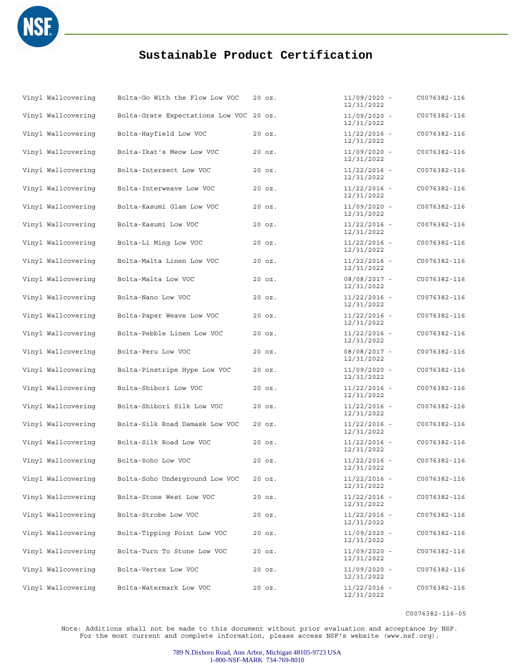

| Vinyl Wallcovering | Bolta-Go With the Flow Low VOC          | 20 oz.     | $11/09/2020 -$<br>12/31/2022 | C0076382-116 |
|--------------------|-----------------------------------------|------------|------------------------------|--------------|
| Vinyl Wallcovering | Bolta-Grate Expectations Low VOC 20 oz. |            | $11/09/2020 -$<br>12/31/2022 | C0076382-116 |
| Vinyl Wallcovering | Bolta-Hayfield Low VOC                  | $20$ $oz.$ | $11/22/2016 -$<br>12/31/2022 | C0076382-116 |
| Vinyl Wallcovering | Bolta-Ikat's Meow Low VOC               | 20 oz.     | $11/09/2020 -$<br>12/31/2022 | C0076382-116 |
| Vinyl Wallcovering | Bolta-Intersect Low VOC                 | 20 oz.     | $11/22/2016 -$<br>12/31/2022 | C0076382-116 |
| Vinyl Wallcovering | Bolta-Interweave Low VOC                | 20 oz.     | $11/22/2016 -$<br>12/31/2022 | C0076382-116 |
| Vinyl Wallcovering | Bolta-Kasumi Glam Low VOC               | 20 oz.     | $11/09/2020 -$<br>12/31/2022 | C0076382-116 |
| Vinyl Wallcovering | Bolta-Kasumi Low VOC                    | 20 oz.     | $11/22/2016$ -<br>12/31/2022 | C0076382-116 |
| Vinyl Wallcovering | Bolta-Li Ming Low VOC                   | 20 oz.     | $11/22/2016 -$<br>12/31/2022 | C0076382-116 |
| Vinyl Wallcovering | Bolta-Malta Linen Low VOC               | 20 oz.     | $11/22/2016 -$<br>12/31/2022 | C0076382-116 |
| Vinyl Wallcovering | Bolta-Malta Low VOC                     | $20$ $oz.$ | 08/08/2017 -<br>12/31/2022   | C0076382-116 |
| Vinyl Wallcovering | Bolta-Nano Low VOC                      | 20 oz.     | $11/22/2016 -$<br>12/31/2022 | C0076382-116 |
| Vinyl Wallcovering | Bolta-Paper Weave Low VOC               | 20 oz.     | $11/22/2016 -$<br>12/31/2022 | C0076382-116 |
| Vinyl Wallcovering | Bolta-Pebble Linen Low VOC              | $20$ $oz.$ | $11/22/2016 -$<br>12/31/2022 | C0076382-116 |
| Vinyl Wallcovering | Bolta-Peru Low VOC                      | 20 oz.     | 08/08/2017 -<br>12/31/2022   | C0076382-116 |
| Vinyl Wallcovering | Bolta-Pinstripe Hype Low VOC            | 20 oz.     | $11/09/2020 -$<br>12/31/2022 | C0076382-116 |
| Vinyl Wallcovering | Bolta-Shibori Low VOC                   | 20 oz.     | $11/22/2016 -$<br>12/31/2022 | C0076382-116 |
| Vinyl Wallcovering | Bolta-Shibori Silk Low VOC              | 20 oz.     | $11/22/2016 -$<br>12/31/2022 | C0076382-116 |
| Vinyl Wallcovering | Bolta-Silk Road Damask Low VOC          | 20 oz.     | $11/22/2016 -$<br>12/31/2022 | C0076382-116 |
| Vinyl Wallcovering | Bolta-Silk Road Low VOC                 | 20 oz.     | $11/22/2016 -$<br>12/31/2022 | C0076382-116 |
| Vinyl Wallcovering | Bolta-Soho Low VOC                      | 20 oz.     | $11/22/2016 -$<br>12/31/2022 | C0076382-116 |
| Vinyl Wallcovering | Bolta-Soho Underground Low VOC          | 20 oz.     | $11/22/2016 -$<br>12/31/2022 | C0076382-116 |
| Vinyl Wallcovering | Bolta-Stone West Low VOC                | 20 oz.     | 11/22/2016 -<br>12/31/2022   | C0076382-116 |
| Vinyl Wallcovering | Bolta-Strobe Low VOC                    | 20 oz.     | $11/22/2016 -$<br>12/31/2022 | C0076382-116 |
| Vinyl Wallcovering | Bolta-Tipping Point Low VOC             | 20 oz.     | $11/09/2020 -$<br>12/31/2022 | C0076382-116 |
| Vinyl Wallcovering | Bolta-Turn To Stone Low VOC             | 20 oz.     | $11/09/2020 -$<br>12/31/2022 | C0076382-116 |
| Vinyl Wallcovering | Bolta-Vertex Low VOC                    | 20 oz.     | $11/09/2020 -$<br>12/31/2022 | C0076382-116 |
| Vinyl Wallcovering | Bolta-Watermark Low VOC                 | 20 oz.     | $11/22/2016 -$<br>12/31/2022 | C0076382-116 |

C0076382-116-05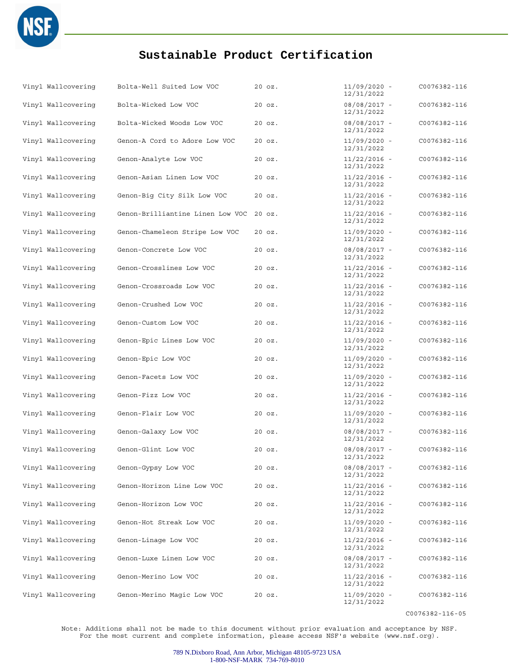

| Vinyl Wallcovering | Bolta-Well Suited Low VOC        | 20 oz.     | $11/09/2020 -$<br>12/31/2022 | C0076382-116 |
|--------------------|----------------------------------|------------|------------------------------|--------------|
| Vinyl Wallcovering | Bolta-Wicked Low VOC             | 20 oz.     | 08/08/2017 -<br>12/31/2022   | C0076382-116 |
| Vinyl Wallcovering | Bolta-Wicked Woods Low VOC       | $20$ $oz.$ | $08/08/2017 -$<br>12/31/2022 | C0076382-116 |
| Vinyl Wallcovering | Genon-A Cord to Adore Low VOC    | 20 oz.     | $11/09/2020 -$<br>12/31/2022 | C0076382-116 |
| Vinyl Wallcovering | Genon-Analyte Low VOC            | 20 oz.     | $11/22/2016 -$<br>12/31/2022 | C0076382-116 |
| Vinyl Wallcovering | Genon-Asian Linen Low VOC        | 20 oz.     | $11/22/2016 -$<br>12/31/2022 | C0076382-116 |
| Vinyl Wallcovering | Genon-Big City Silk Low VOC      | 20 oz.     | $11/22/2016 -$<br>12/31/2022 | C0076382-116 |
| Vinyl Wallcovering | Genon-Brilliantine Linen Low VOC | $20$ $oz.$ | $11/22/2016 -$<br>12/31/2022 | C0076382-116 |
| Vinyl Wallcovering | Genon-Chameleon Stripe Low VOC   | 20 oz.     | $11/09/2020 -$<br>12/31/2022 | C0076382-116 |
| Vinyl Wallcovering | Genon-Concrete Low VOC           | 20 oz.     | $08/08/2017 -$<br>12/31/2022 | C0076382-116 |
| Vinyl Wallcovering | Genon-Crosslines Low VOC         | 20 oz.     | $11/22/2016 -$<br>12/31/2022 | C0076382-116 |
| Vinyl Wallcovering | Genon-Crossroads Low VOC         | 20 oz.     | $11/22/2016 -$<br>12/31/2022 | C0076382-116 |
| Vinyl Wallcovering | Genon-Crushed Low VOC            | 20 oz.     | $11/22/2016 -$<br>12/31/2022 | C0076382-116 |
| Vinyl Wallcovering | Genon-Custom Low VOC             | 20 oz.     | $11/22/2016 -$<br>12/31/2022 | C0076382-116 |
| Vinyl Wallcovering | Genon-Epic Lines Low VOC         | 20 oz.     | $11/09/2020 -$<br>12/31/2022 | C0076382-116 |
| Vinyl Wallcovering | Genon-Epic Low VOC               | 20 oz.     | $11/09/2020 -$<br>12/31/2022 | C0076382-116 |
| Vinyl Wallcovering | Genon-Facets Low VOC             | 20 oz.     | $11/09/2020 -$<br>12/31/2022 | C0076382-116 |
| Vinyl Wallcovering | Genon-Fizz Low VOC               | 20 oz.     | $11/22/2016 -$<br>12/31/2022 | C0076382-116 |
| Vinyl Wallcovering | Genon-Flair Low VOC              | 20 oz.     | $11/09/2020 -$<br>12/31/2022 | C0076382-116 |
| Vinyl Wallcovering | Genon-Galaxy Low VOC             | 20 oz.     | $08/08/2017 -$<br>12/31/2022 | C0076382-116 |
| Vinyl Wallcovering | Genon-Glint Low VOC              | 20 oz.     | 08/08/2017 -<br>12/31/2022   | C0076382-116 |
| Vinyl Wallcovering | Genon-Gypsy Low VOC              | 20 oz.     | 08/08/2017 -<br>12/31/2022   | C0076382-116 |
| Vinyl Wallcovering | Genon-Horizon Line Low VOC       | 20 oz.     | $11/22/2016$ -<br>12/31/2022 | C0076382-116 |
| Vinyl Wallcovering | Genon-Horizon Low VOC            | 20 oz.     | $11/22/2016 -$<br>12/31/2022 | C0076382-116 |
| Vinyl Wallcovering | Genon-Hot Streak Low VOC         | 20 oz.     | $11/09/2020 -$<br>12/31/2022 | C0076382-116 |
| Vinyl Wallcovering | Genon-Linage Low VOC             | 20 oz.     | $11/22/2016 -$<br>12/31/2022 | C0076382-116 |
| Vinyl Wallcovering | Genon-Luxe Linen Low VOC         | 20 oz.     | 08/08/2017 -<br>12/31/2022   | C0076382-116 |
| Vinyl Wallcovering | Genon-Merino Low VOC             | 20 oz.     | $11/22/2016 -$<br>12/31/2022 | C0076382-116 |
| Vinyl Wallcovering | Genon-Merino Magic Low VOC       | 20 oz.     | $11/09/2020 -$<br>12/31/2022 | C0076382-116 |

C0076382-116-05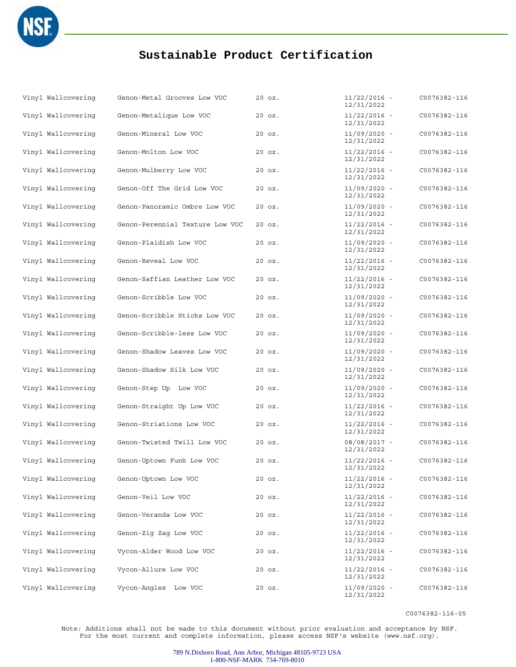

| Vinyl Wallcovering | Genon-Metal Grooves Low VOC     | $20$ $oz.$ | 11/22/2016 -<br>12/31/2022   | C0076382-116 |
|--------------------|---------------------------------|------------|------------------------------|--------------|
| Vinyl Wallcovering | Genon-Metalique Low VOC         | $20$ $oz.$ | 11/22/2016 -<br>12/31/2022   | C0076382-116 |
| Vinyl Wallcovering | Genon-Mineral Low VOC           | $20$ $oz.$ | $11/09/2020 -$<br>12/31/2022 | C0076382-116 |
| Vinyl Wallcovering | Genon-Molton Low VOC            | 20 oz.     | $11/22/2016 -$<br>12/31/2022 | C0076382-116 |
| Vinyl Wallcovering | Genon-Mulberry Low VOC          | $20$ $oz.$ | $11/22/2016 -$<br>12/31/2022 | C0076382-116 |
| Vinyl Wallcovering | Genon-Off The Grid Low VOC      | $20$ $oz.$ | $11/09/2020 -$<br>12/31/2022 | C0076382-116 |
| Vinyl Wallcovering | Genon-Panoramic Ombre Low VOC   | 20 oz.     | 11/09/2020 -<br>12/31/2022   | C0076382-116 |
| Vinyl Wallcovering | Genon-Perennial Texture Low VOC | $20$ $oz.$ | $11/22/2016 -$<br>12/31/2022 | C0076382-116 |
| Vinyl Wallcovering | Genon-Plaidish Low VOC          | 20 oz.     | $11/09/2020 -$<br>12/31/2022 | C0076382-116 |
| Vinyl Wallcovering | Genon-Reveal Low VOC            | $20$ $oz.$ | $11/22/2016 -$<br>12/31/2022 | C0076382-116 |
| Vinyl Wallcovering | Genon-Saffian Leather Low VOC   | 20 oz.     | $11/22/2016 -$<br>12/31/2022 | C0076382-116 |
| Vinyl Wallcovering | Genon-Scribble Low VOC          | 20 oz.     | 11/09/2020 -<br>12/31/2022   | C0076382-116 |
| Vinyl Wallcovering | Genon-Scribble Sticks Low VOC   | $20$ $oz.$ | $11/09/2020 -$<br>12/31/2022 | C0076382-116 |
| Vinyl Wallcovering | Genon-Scribble-less Low VOC     | 20 oz.     | $11/09/2020 -$<br>12/31/2022 | C0076382-116 |
| Vinyl Wallcovering | Genon-Shadow Leaves Low VOC     | $20$ $oz.$ | $11/09/2020 -$<br>12/31/2022 | C0076382-116 |
| Vinyl Wallcovering | Genon-Shadow Silk Low VOC       | 20 oz.     | $11/09/2020 -$<br>12/31/2022 | C0076382-116 |
| Vinyl Wallcovering | Genon-Step Up Low VOC           | $20$ $oz.$ | $11/09/2020 -$<br>12/31/2022 | C0076382-116 |
| Vinyl Wallcovering | Genon-Straight Up Low VOC       | $20$ $oz.$ | 11/22/2016 -<br>12/31/2022   | C0076382-116 |
| Vinyl Wallcovering | Genon-Striations Low VOC        | 20 oz.     | $11/22/2016 -$<br>12/31/2022 | C0076382-116 |
| Vinyl Wallcovering | Genon-Twisted Twill Low VOC     | 20 oz.     | 08/08/2017 -<br>12/31/2022   | C0076382-116 |
| Vinyl Wallcovering | Genon-Uptown Funk Low VOC       | 20 oz.     | 11/22/2016 -<br>12/31/2022   | C0076382-116 |
| Vinyl Wallcovering | Genon-Uptown Low VOC            | $20$ $oz.$ | $11/22/2016 -$<br>12/31/2022 | C0076382-116 |
| Vinyl Wallcovering | Genon-Veil Low VOC              | $20$ $oz.$ | $11/22/2016 -$<br>12/31/2022 | C0076382-116 |
| Vinyl Wallcovering | Genon-Veranda Low VOC           | $20$ $oz.$ | $11/22/2016 -$<br>12/31/2022 | C0076382-116 |
| Vinyl Wallcovering | Genon-Zig Zag Low VOC           | $20$ $oz.$ | $11/22/2016 -$<br>12/31/2022 | C0076382-116 |
| Vinyl Wallcovering | Vycon-Alder Wood Low VOC        | $20$ $oz.$ | $11/22/2016 -$<br>12/31/2022 | C0076382-116 |
| Vinyl Wallcovering | Vycon-Allure Low VOC            | $20$ $oz.$ | $11/22/2016 -$<br>12/31/2022 | C0076382-116 |
| Vinyl Wallcovering | Vycon-Angles Low VOC            | $20$ $oz.$ | 11/09/2020 -<br>12/31/2022   | C0076382-116 |

C0076382-116-05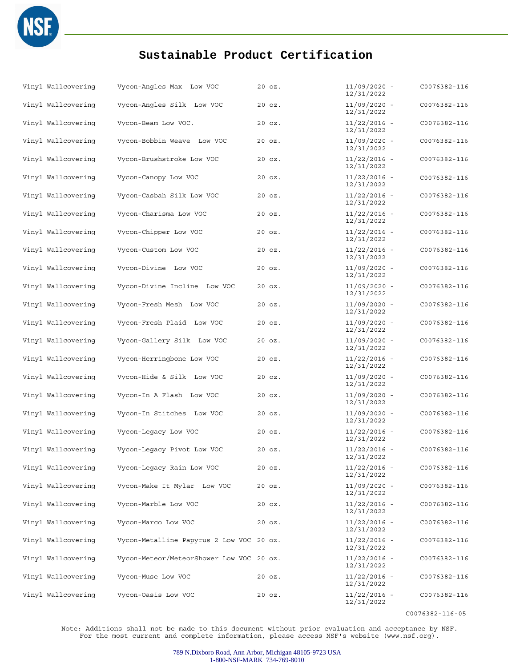

| Vinyl Wallcovering | Vycon-Angles Max Low VOC                 | $20$ $oz.$ | 11/09/2020 -<br>12/31/2022   | C0076382-116 |
|--------------------|------------------------------------------|------------|------------------------------|--------------|
| Vinyl Wallcovering | Vycon-Angles Silk Low VOC                | $20$ $oz.$ | $11/09/2020 -$<br>12/31/2022 | C0076382-116 |
| Vinyl Wallcovering | Vycon-Beam Low VOC.                      | 20 oz.     | $11/22/2016 -$<br>12/31/2022 | C0076382-116 |
| Vinyl Wallcovering | Vycon-Bobbin Weave Low VOC               | $20$ $oz.$ | $11/09/2020 -$<br>12/31/2022 | C0076382-116 |
| Vinyl Wallcovering | Vycon-Brushstroke Low VOC                | 20 oz.     | $11/22/2016 -$<br>12/31/2022 | C0076382-116 |
| Vinyl Wallcovering | Vycon-Canopy Low VOC                     | 20 oz.     | $11/22/2016 -$<br>12/31/2022 | C0076382-116 |
| Vinyl Wallcovering | Vycon-Casbah Silk Low VOC                | 20 oz.     | $11/22/2016 -$<br>12/31/2022 | C0076382-116 |
| Vinyl Wallcovering | Vycon-Charisma Low VOC                   | 20 oz.     | $11/22/2016 -$<br>12/31/2022 | C0076382-116 |
| Vinyl Wallcovering | Vycon-Chipper Low VOC                    | $20$ $oz.$ | $11/22/2016 -$<br>12/31/2022 | C0076382-116 |
| Vinyl Wallcovering | Vycon-Custom Low VOC                     | 20 oz.     | $11/22/2016 -$<br>12/31/2022 | C0076382-116 |
| Vinyl Wallcovering | Vycon-Divine Low VOC                     | $20$ $oz.$ | $11/09/2020 -$<br>12/31/2022 | C0076382-116 |
| Vinyl Wallcovering | Vycon-Divine Incline Low VOC             | 20 oz.     | $11/09/2020 -$<br>12/31/2022 | C0076382-116 |
| Vinyl Wallcovering | Vycon-Fresh Mesh Low VOC                 | 20 oz.     | $11/09/2020 -$<br>12/31/2022 | C0076382-116 |
| Vinyl Wallcovering | Vycon-Fresh Plaid Low VOC                | $20$ $oz.$ | 11/09/2020 -<br>12/31/2022   | C0076382-116 |
| Vinyl Wallcovering | Vycon-Gallery Silk Low VOC               | $20$ $oz.$ | $11/09/2020 -$<br>12/31/2022 | C0076382-116 |
| Vinyl Wallcovering | Vycon-Herringbone Low VOC                | $20$ $oz.$ | $11/22/2016 -$<br>12/31/2022 | C0076382-116 |
| Vinyl Wallcovering | Vycon-Hide & Silk Low VOC                | 20 oz.     | $11/09/2020 -$<br>12/31/2022 | C0076382-116 |
| Vinyl Wallcovering | Vycon-In A Flash Low VOC                 | 20 oz.     | $11/09/2020 -$<br>12/31/2022 | C0076382-116 |
| Vinyl Wallcovering | Vycon-In Stitches Low VOC                | $20$ $oz.$ | $11/09/2020 -$<br>12/31/2022 | C0076382-116 |
| Vinyl Wallcovering | Vycon-Leqacy Low VOC                     | 20 oz.     | $11/22/2016 -$<br>12/31/2022 | C0076382-116 |
| Vinyl Wallcovering | Vycon-Legacy Pivot Low VOC               | 20 oz.     | $11/22/2016 -$<br>12/31/2022 | C0076382-116 |
| Vinyl Wallcovering | Vycon-Legacy Rain Low VOC                | 20 oz.     | $11/22/2016 -$<br>12/31/2022 | C0076382-116 |
| Vinyl Wallcovering | Vycon-Make It Mylar Low VOC              | $20$ $oz.$ | $11/09/2020 -$<br>12/31/2022 | C0076382-116 |
| Vinyl Wallcovering | Vycon-Marble Low VOC                     | $20$ $oz.$ | $11/22/2016 -$<br>12/31/2022 | C0076382-116 |
| Vinyl Wallcovering | Vycon-Marco Low VOC                      | 20 oz.     | 11/22/2016 -<br>12/31/2022   | C0076382-116 |
| Vinyl Wallcovering | Vycon-Metalline Papyrus 2 Low VOC 20 oz. |            | $11/22/2016 -$<br>12/31/2022 | C0076382-116 |
| Vinyl Wallcovering | Vycon-Meteor/MeteorShower Low VOC 20 oz. |            | $11/22/2016 -$<br>12/31/2022 | C0076382-116 |
| Vinyl Wallcovering | Vycon-Muse Low VOC                       | $20$ $oz.$ | 11/22/2016 -<br>12/31/2022   | C0076382-116 |
| Vinyl Wallcovering | Vycon-Oasis Low VOC                      | 20 oz.     | $11/22/2016 -$<br>12/31/2022 | C0076382-116 |

C0076382-116-05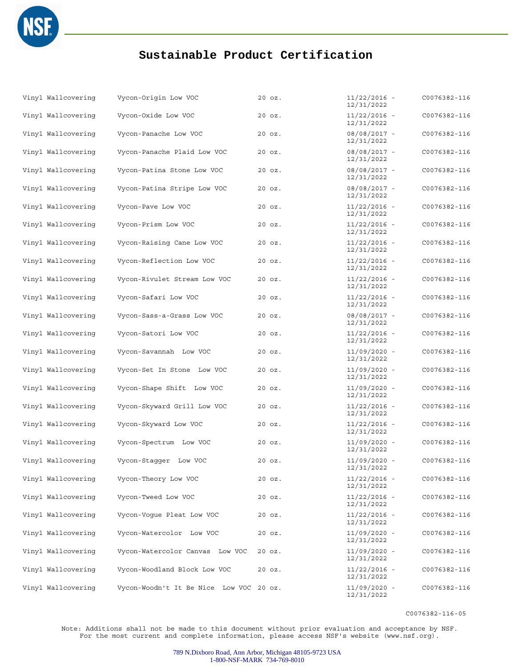

| Vinyl Wallcovering | Vycon-Origin Low VOC                    | $20$ $oz.$ | $11/22/2016 -$<br>12/31/2022 | C0076382-116 |
|--------------------|-----------------------------------------|------------|------------------------------|--------------|
| Vinyl Wallcovering | Vycon-Oxide Low VOC                     | $20$ $oz.$ | $11/22/2016 -$<br>12/31/2022 | C0076382-116 |
| Vinyl Wallcovering | Vycon-Panache Low VOC                   | 20 oz.     | 08/08/2017 -<br>12/31/2022   | C0076382-116 |
| Vinyl Wallcovering | Vycon-Panache Plaid Low VOC             | $20$ $oz.$ | 08/08/2017 -<br>12/31/2022   | C0076382-116 |
| Vinyl Wallcovering | Vycon-Patina Stone Low VOC              | 20 oz.     | 08/08/2017 -<br>12/31/2022   | C0076382-116 |
| Vinyl Wallcovering | Vycon-Patina Stripe Low VOC             | $20$ $oz.$ | 08/08/2017 -<br>12/31/2022   | C0076382-116 |
| Vinyl Wallcovering | Vycon-Pave Low VOC                      | $20$ $oz.$ | $11/22/2016 -$<br>12/31/2022 | C0076382-116 |
| Vinyl Wallcovering | Vycon-Prism Low VOC                     | $20$ $oz.$ | $11/22/2016 -$<br>12/31/2022 | C0076382-116 |
| Vinyl Wallcovering | Vycon-Raising Cane Low VOC              | 20 oz.     | $11/22/2016 -$<br>12/31/2022 | C0076382-116 |
| Vinyl Wallcovering | Vycon-Reflection Low VOC                | 20 oz.     | $11/22/2016 -$<br>12/31/2022 | C0076382-116 |
| Vinyl Wallcovering | Vycon-Rivulet Stream Low VOC            | $20$ $oz.$ | $11/22/2016 -$<br>12/31/2022 | C0076382-116 |
| Vinyl Wallcovering | Vycon-Safari Low VOC                    | $20$ $oz.$ | $11/22/2016 -$<br>12/31/2022 | C0076382-116 |
| Vinyl Wallcovering | Vycon-Sass-a-Grass Low VOC              | 20 oz.     | 08/08/2017 -<br>12/31/2022   | C0076382-116 |
| Vinyl Wallcovering | Vycon-Satori Low VOC                    | 20 oz.     | $11/22/2016 -$<br>12/31/2022 | C0076382-116 |
| Vinyl Wallcovering | Vycon-Savannah Low VOC                  | 20 oz.     | $11/09/2020 -$<br>12/31/2022 | C0076382-116 |
| Vinyl Wallcovering | Vycon-Set In Stone Low VOC              | $20$ $oz.$ | 11/09/2020 -<br>12/31/2022   | C0076382-116 |
| Vinyl Wallcovering | Vycon-Shape Shift Low VOC               | 20 oz.     | $11/09/2020 -$<br>12/31/2022 | C0076382-116 |
| Vinyl Wallcovering | Vycon-Skyward Grill Low VOC             | 20 oz.     | $11/22/2016 -$<br>12/31/2022 | C0076382-116 |
| Vinyl Wallcovering | Vycon-Skyward Low VOC                   | 20 oz.     | $11/22/2016 -$<br>12/31/2022 | C0076382-116 |
| Vinyl Wallcovering | Vycon-Spectrum Low VOC                  | 20 oz.     | $11/09/2020 -$<br>12/31/2022 | C0076382-116 |
| Vinyl Wallcovering | Vycon-Stagger Low VOC                   | 20 oz.     | $11/09/2020 -$<br>12/31/2022 | C0076382-116 |
| Vinyl Wallcovering | Vycon-Theory Low VOC                    | 20 oz.     | $11/22/2016 -$<br>12/31/2022 | C0076382-116 |
| Vinyl Wallcovering | Vycon-Tweed Low VOC                     | 20 oz.     | $11/22/2016 -$<br>12/31/2022 | C0076382-116 |
| Vinyl Wallcovering | Vycon-Voque Pleat Low VOC               | 20 oz.     | 11/22/2016 -<br>12/31/2022   | C0076382-116 |
| Vinyl Wallcovering | Vycon-Watercolor Low VOC                | 20 oz.     | 11/09/2020 -<br>12/31/2022   | C0076382-116 |
| Vinyl Wallcovering | Vycon-Watercolor Canvas Low VOC         | 20 oz.     | $11/09/2020 -$<br>12/31/2022 | C0076382-116 |
| Vinyl Wallcovering | Vycon-Woodland Block Low VOC            | 20 oz.     | $11/22/2016 -$<br>12/31/2022 | C0076382-116 |
| Vinyl Wallcovering | Vycon-Woodn't It Be Nice Low VOC 20 oz. |            | 11/09/2020 -<br>12/31/2022   | C0076382-116 |

C0076382-116-05